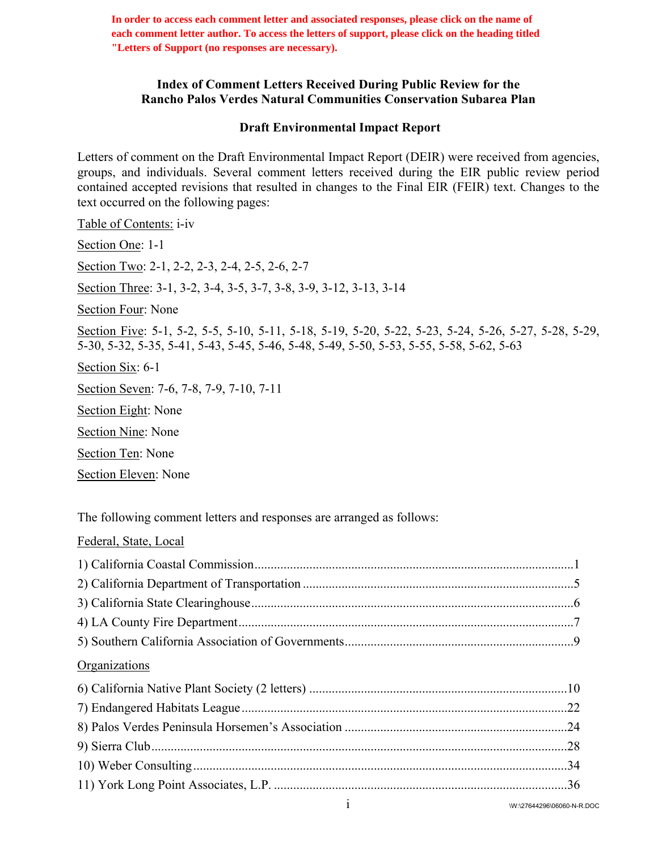**In order to access each comment letter and associated responses, please click on the name of each comment letter author. To access the letters of support, please click on the heading titled "Letters of Support (no responses are necessary).**

## **Index of Comment Letters Received During Public Review for the Rancho Palos Verdes Natural Communities Conservation Subarea Plan**

## **Draft Environmental Impact Report**

Letters of comment on the Draft Environmental Impact Report (DEIR) were received from agencies, groups, and individuals. Several comment letters received during the EIR public review period contained accepted revisions that resulted in changes to the Final EIR (FEIR) text. Changes to the text occurred on the following pages:

Table of Contents: i-iv Section One: 1-1 Section Two: 2-1, 2-2, 2-3, 2-4, 2-5, 2-6, 2-7 Section Three: 3-1, 3-2, 3-4, 3-5, 3-7, 3-8, 3-9, 3-12, 3-13, 3-14 Section Four: None Section Five: 5-1, 5-2, 5-5, 5-10, 5-11, 5-18, 5-19, 5-20, 5-22, 5-23, 5-24, 5-26, 5-27, 5-28, 5-29, 5-30, 5-32, 5-35, 5-41, 5-43, 5-45, 5-46, 5-48, 5-49, 5-50, 5-53, 5-55, 5-58, 5-62, 5-63 Section Six: 6-1 Section Seven: 7-6, 7-8, 7-9, 7-10, 7-11 Section Eight: None Section Nine: None Section Ten: None

Section Eleven: None

Federal, State, Local

The following comment letters and responses are arranged as follows:

| Organizations |  |
|---------------|--|
|               |  |
|               |  |
|               |  |
|               |  |
|               |  |
|               |  |
|               |  |